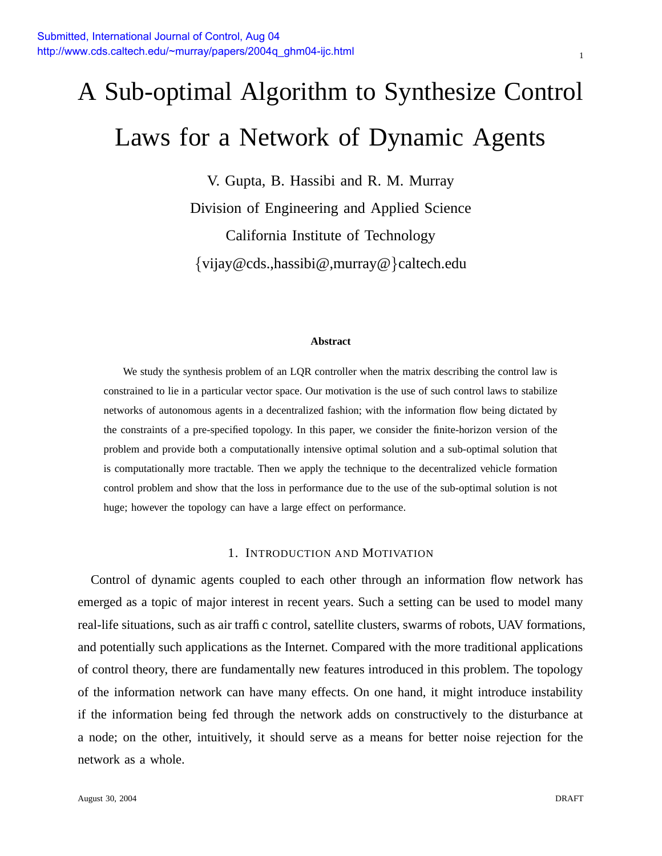# A Sub-optimal Algorithm to Synthesize Control Laws for a Network of Dynamic Agents

V. Gupta, B. Hassibi and R. M. Murray Division of Engineering and Applied Science California Institute of Technology {vijay@cds.,hassibi@,murray@}caltech.edu

#### **Abstract**

We study the synthesis problem of an LQR controller when the matrix describing the control law is constrained to lie in a particular vector space. Our motivation is the use of such control laws to stabilize networks of autonomous agents in a decentralized fashion; with the information flow being dictated by the constraints of a pre-specified topology. In this paper, we consider the finite-horizon version of the problem and provide both a computationally intensive optimal solution and a sub-optimal solution that is computationally more tractable. Then we apply the technique to the decentralized vehicle formation control problem and show that the loss in performance due to the use of the sub-optimal solution is not huge; however the topology can have a large effect on performance.

## 1. INTRODUCTION AND MOTIVATION

Control of dynamic agents coupled to each other through an information flow network has emerged as a topic of major interest in recent years. Such a setting can be used to model many real-life situations, such as air traffic control, satellite clusters, swarms of robots, UAV formations, and potentially such applications as the Internet. Compared with the more traditional applications of control theory, there are fundamentally new features introduced in this problem. The topology of the information network can have many effects. On one hand, it might introduce instability if the information being fed through the network adds on constructively to the disturbance at a node; on the other, intuitively, it should serve as a means for better noise rejection for the network as a whole.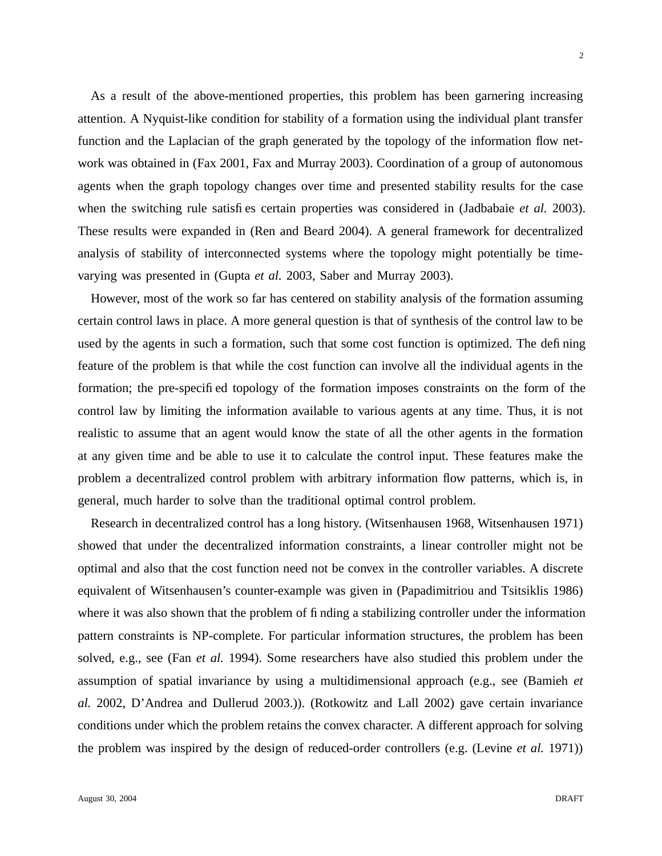As a result of the above-mentioned properties, this problem has been garnering increasing attention. A Nyquist-like condition for stability of a formation using the individual plant transfer function and the Laplacian of the graph generated by the topology of the information flow network was obtained in (Fax 2001, Fax and Murray 2003). Coordination of a group of autonomous agents when the graph topology changes over time and presented stability results for the case when the switching rule satisfies certain properties was considered in (Jadbabaie *et al.* 2003). These results were expanded in (Ren and Beard 2004). A general framework for decentralized analysis of stability of interconnected systems where the topology might potentially be timevarying was presented in (Gupta *et al.* 2003, Saber and Murray 2003).

However, most of the work so far has centered on stability analysis of the formation assuming certain control laws in place. A more general question is that of synthesis of the control law to be used by the agents in such a formation, such that some cost function is optimized. The defining feature of the problem is that while the cost function can involve all the individual agents in the formation; the pre-specified topology of the formation imposes constraints on the form of the control law by limiting the information available to various agents at any time. Thus, it is not realistic to assume that an agent would know the state of all the other agents in the formation at any given time and be able to use it to calculate the control input. These features make the problem a decentralized control problem with arbitrary information flow patterns, which is, in general, much harder to solve than the traditional optimal control problem.

Research in decentralized control has a long history. (Witsenhausen 1968, Witsenhausen 1971) showed that under the decentralized information constraints, a linear controller might not be optimal and also that the cost function need not be convex in the controller variables. A discrete equivalent of Witsenhausen's counter-example was given in (Papadimitriou and Tsitsiklis 1986) where it was also shown that the problem of finding a stabilizing controller under the information pattern constraints is NP-complete. For particular information structures, the problem has been solved, e.g., see (Fan *et al.* 1994). Some researchers have also studied this problem under the assumption of spatial invariance by using a multidimensional approach (e.g., see (Bamieh *et al.* 2002, D'Andrea and Dullerud 2003.)). (Rotkowitz and Lall 2002) gave certain invariance conditions under which the problem retains the convex character. A different approach for solving the problem was inspired by the design of reduced-order controllers (e.g. (Levine *et al.* 1971))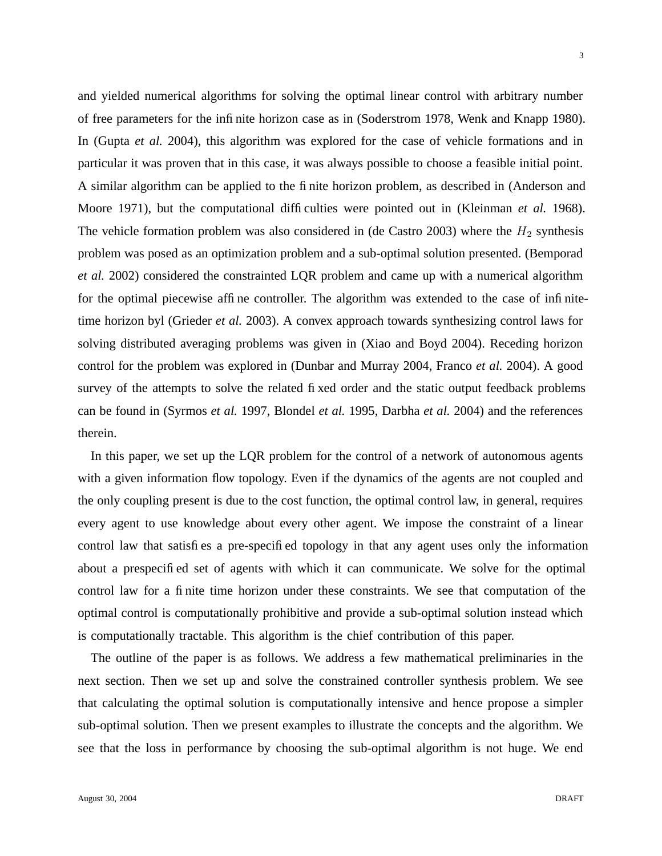and yielded numerical algorithms for solving the optimal linear control with arbitrary number of free parameters for the infinite horizon case as in (Soderstrom 1978, Wenk and Knapp 1980). In (Gupta *et al.* 2004), this algorithm was explored for the case of vehicle formations and in particular it was proven that in this case, it was always possible to choose a feasible initial point. A similar algorithm can be applied to the finite horizon problem, as described in (Anderson and Moore 1971), but the computational difficulties were pointed out in (Kleinman *et al.* 1968). The vehicle formation problem was also considered in (de Castro 2003) where the  $H_2$  synthesis problem was posed as an optimization problem and a sub-optimal solution presented. (Bemporad *et al.* 2002) considered the constrainted LQR problem and came up with a numerical algorithm for the optimal piecewise affine controller. The algorithm was extended to the case of infinitetime horizon byl (Grieder *et al.* 2003). A convex approach towards synthesizing control laws for solving distributed averaging problems was given in (Xiao and Boyd 2004). Receding horizon control for the problem was explored in (Dunbar and Murray 2004, Franco *et al.* 2004). A good survey of the attempts to solve the related fixed order and the static output feedback problems can be found in (Syrmos *et al.* 1997, Blondel *et al.* 1995, Darbha *et al.* 2004) and the references therein.

In this paper, we set up the LQR problem for the control of a network of autonomous agents with a given information flow topology. Even if the dynamics of the agents are not coupled and the only coupling present is due to the cost function, the optimal control law, in general, requires every agent to use knowledge about every other agent. We impose the constraint of a linear control law that satisfies a pre-specified topology in that any agent uses only the information about a prespecified set of agents with which it can communicate. We solve for the optimal control law for a finite time horizon under these constraints. We see that computation of the optimal control is computationally prohibitive and provide a sub-optimal solution instead which is computationally tractable. This algorithm is the chief contribution of this paper.

The outline of the paper is as follows. We address a few mathematical preliminaries in the next section. Then we set up and solve the constrained controller synthesis problem. We see that calculating the optimal solution is computationally intensive and hence propose a simpler sub-optimal solution. Then we present examples to illustrate the concepts and the algorithm. We see that the loss in performance by choosing the sub-optimal algorithm is not huge. We end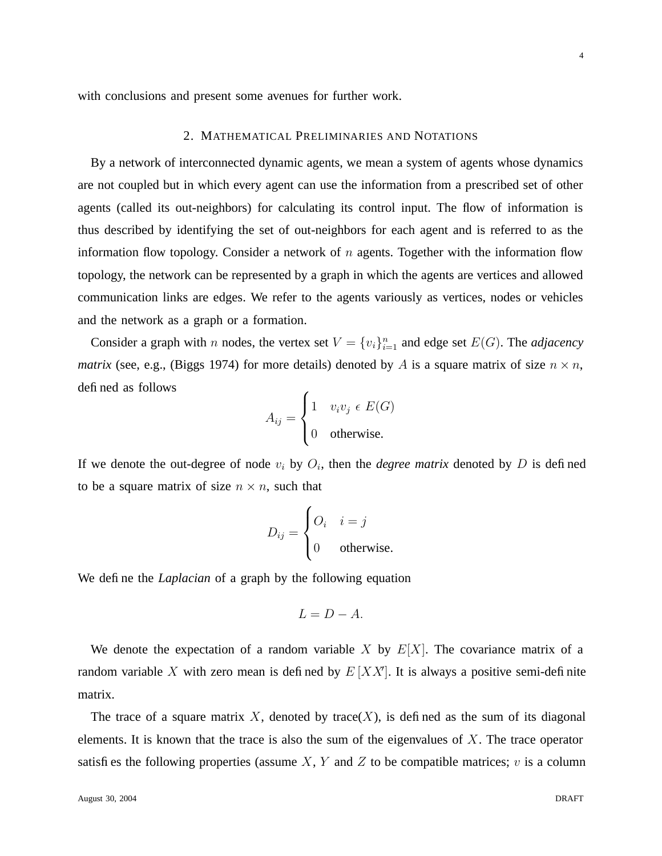with conclusions and present some avenues for further work.

## 2. MATHEMATICAL PRELIMINARIES AND NOTATIONS

By a network of interconnected dynamic agents, we mean a system of agents whose dynamics are not coupled but in which every agent can use the information from a prescribed set of other agents (called its out-neighbors) for calculating its control input. The flow of information is thus described by identifying the set of out-neighbors for each agent and is referred to as the information flow topology. Consider a network of  $n$  agents. Together with the information flow topology, the network can be represented by a graph in which the agents are vertices and allowed communication links are edges. We refer to the agents variously as vertices, nodes or vehicles and the network as a graph or a formation.

Consider a graph with *n* nodes, the vertex set  $V = \{v_i\}_{i=1}^n$  and edge set  $E(G)$ . The *adjacency matrix* (see, e.g., (Biggs 1974) for more details) denoted by A is a square matrix of size  $n \times n$ , defined as follows

$$
A_{ij} = \begin{cases} 1 & v_i v_j \in E(G) \\ 0 & \text{otherwise.} \end{cases}
$$

If we denote the out-degree of node  $v_i$  by  $O_i$ , then the *degree matrix* denoted by  $D$  is defined to be a square matrix of size  $n \times n$ , such that

$$
D_{ij} = \begin{cases} O_i & i = j \\ 0 & \text{otherwise.} \end{cases}
$$

We define the *Laplacian* of a graph by the following equation

$$
L=D-A.
$$

We denote the expectation of a random variable X by  $E[X]$ . The covariance matrix of a random variable X with zero mean is defined by  $E[XX]$ . It is always a positive semi-definite matrix.

The trace of a square matrix X, denoted by trace(X), is defined as the sum of its diagonal elements. It is known that the trace is also the sum of the eigenvalues of  $X$ . The trace operator satisfies the following properties (assume X, Y and Z to be compatible matrices;  $v$  is a column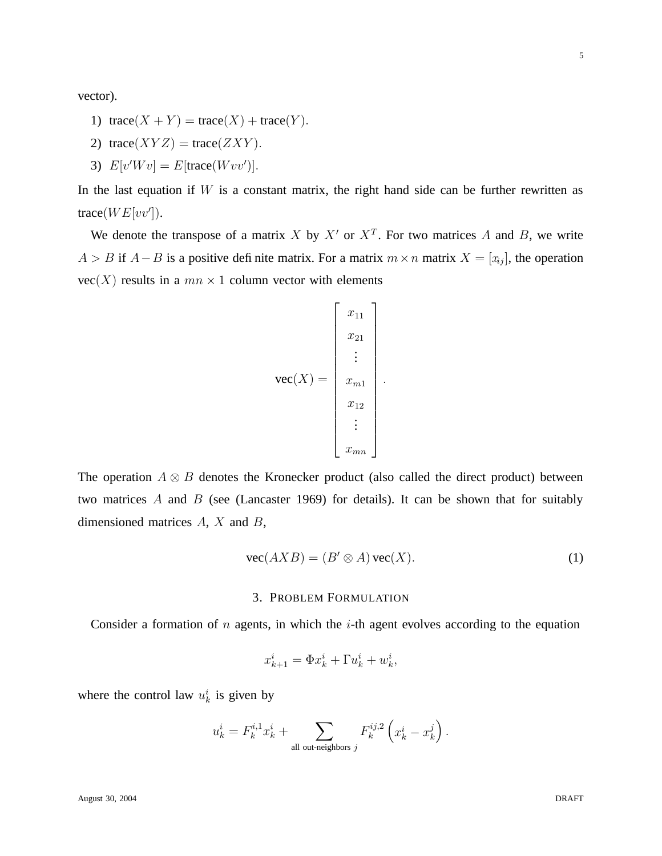vector).

- 1)  $trace(X + Y) = trace(X) + trace(Y).$
- 2) trace( $XYZ$ ) = trace( $ZXY$ ).
- 3)  $E[v'Wv] = E[\text{trace}(Wvv')]$ .

In the last equation if  $W$  is a constant matrix, the right hand side can be further rewritten as trace( $WE[vv']$ ).

We denote the transpose of a matrix X by X' or  $X<sup>T</sup>$ . For two matrices A and B, we write  $A > B$  if  $A - B$  is a positive definite matrix. For a matrix  $m \times n$  matrix  $X = [x_{ij}]$ , the operation  $vec(X)$  results in a  $mn \times 1$  column vector with elements

$$
\text{vec}(X) = \begin{bmatrix} x_{11} \\ x_{21} \\ \vdots \\ x_{m1} \\ x_{12} \\ \vdots \\ x_{mn} \end{bmatrix}.
$$

The operation  $A \otimes B$  denotes the Kronecker product (also called the direct product) between two matrices A and B (see (Lancaster 1969) for details). It can be shown that for suitably dimensioned matrices  $A$ ,  $X$  and  $B$ ,

$$
\text{vec}(AXB) = (B' \otimes A)\,\text{vec}(X). \tag{1}
$$

## 3. PROBLEM FORMULATION

Consider a formation of  $n$  agents, in which the  $i$ -th agent evolves according to the equation

$$
x_{k+1}^i = \Phi x_k^i + \Gamma u_k^i + w_k^i,
$$

where the control law  $u_k^i$  is given by

$$
u_k^i = F_k^{i,1} x_k^i + \sum_{\text{all out-neighbors } j} F_k^{ij,2} \left( x_k^i - x_k^j \right).
$$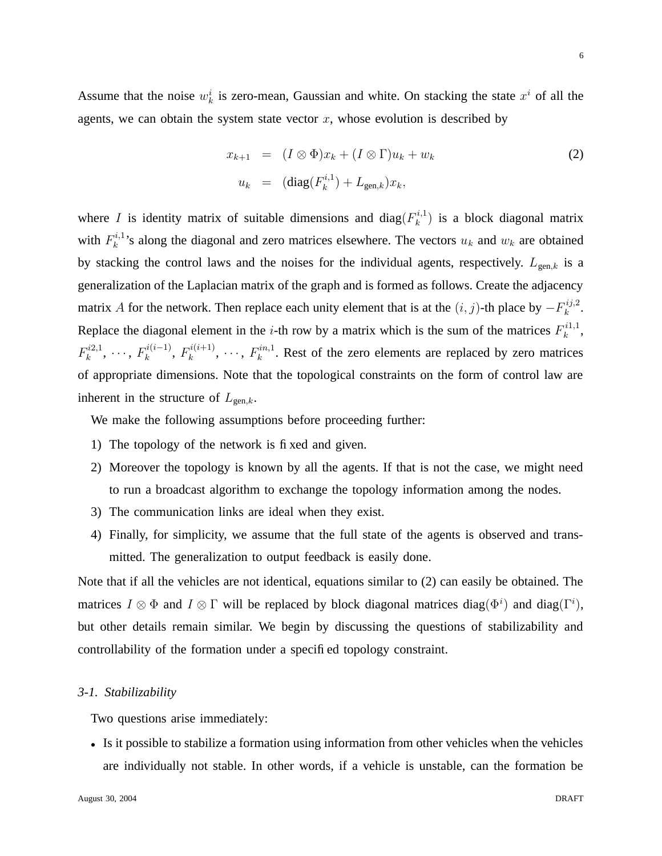Assume that the noise  $w_k^i$  is zero-mean, Gaussian and white. On stacking the state  $x^i$  of all the agents, we can obtain the system state vector  $x$ , whose evolution is described by

$$
x_{k+1} = (I \otimes \Phi)x_k + (I \otimes \Gamma)u_k + w_k
$$
  
\n
$$
u_k = (\text{diag}(F_k^{i,1}) + L_{\text{gen},k})x_k,
$$
\n(2)

where *I* is identity matrix of suitable dimensions and diag( $F_k^{i,1}$ )  $\binom{n+1}{k}$  is a block diagonal matrix with  $F_k^{i,1}$  $k_k^{(n)}$ 's along the diagonal and zero matrices elsewhere. The vectors  $u_k$  and  $w_k$  are obtained by stacking the control laws and the noises for the individual agents, respectively.  $L_{gen,k}$  is a generalization of the Laplacian matrix of the graph and is formed as follows. Create the adjacency matrix A for the network. Then replace each unity element that is at the  $(i, j)$ -th place by  $-F_k^{ij,2}$  $_k^{ij,2}.$ Replace the diagonal element in the *i*-th row by a matrix which is the sum of the matrices  $F_k^{i1,1}$  $\frac{i^{i1,1}}{k}$  $F_k^{i2,1}$  $k^{i2,1}, \cdots, F_k^{i(i-1)}$  $k^{i(i-1)}$ ,  $F_k^{i(i+1)}$  $k^{i(i+1)}, \cdots, F_k^{in,1}$  $k<sup>nn,1</sup>$ . Rest of the zero elements are replaced by zero matrices of appropriate dimensions. Note that the topological constraints on the form of control law are inherent in the structure of  $L_{gen.k}$ .

We make the following assumptions before proceeding further:

- 1) The topology of the network is fixed and given.
- 2) Moreover the topology is known by all the agents. If that is not the case, we might need to run a broadcast algorithm to exchange the topology information among the nodes.
- 3) The communication links are ideal when they exist.
- 4) Finally, for simplicity, we assume that the full state of the agents is observed and transmitted. The generalization to output feedback is easily done.

Note that if all the vehicles are not identical, equations similar to (2) can easily be obtained. The matrices  $I \otimes \Phi$  and  $I \otimes \Gamma$  will be replaced by block diagonal matrices diag( $\Phi^i$ ) and diag( $\Gamma^i$ ), but other details remain similar. We begin by discussing the questions of stabilizability and controllability of the formation under a specified topology constraint.

## *3-1. Stabilizability*

Two questions arise immediately:

• Is it possible to stabilize a formation using information from other vehicles when the vehicles are individually not stable. In other words, if a vehicle is unstable, can the formation be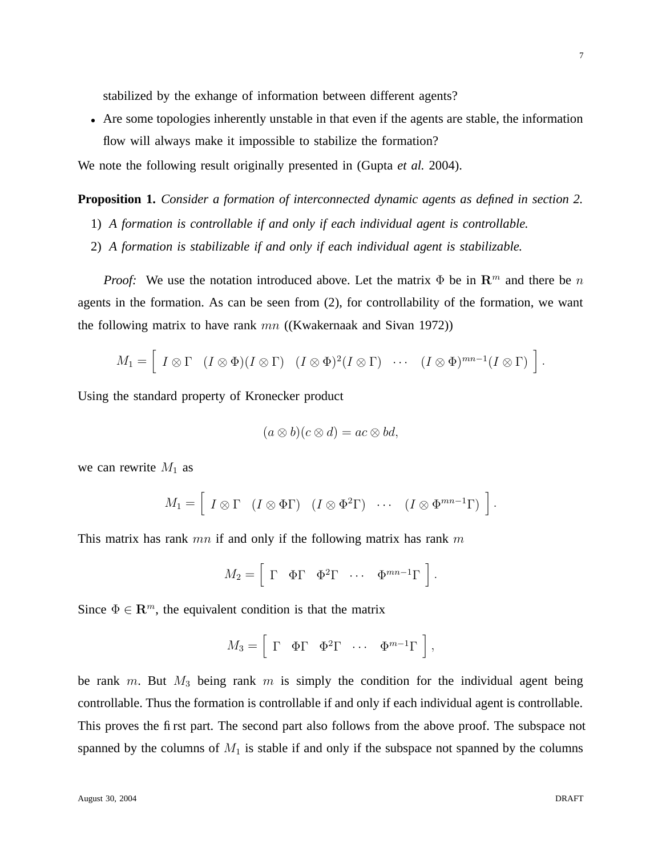stabilized by the exhange of information between different agents?

• Are some topologies inherently unstable in that even if the agents are stable, the information flow will always make it impossible to stabilize the formation?

We note the following result originally presented in (Gupta *et al.* 2004).

**Proposition 1.** *Consider a formation of interconnected dynamic agents as defined in section 2.*

- 1) *A formation is controllable if and only if each individual agent is controllable.*
- 2) *A formation is stabilizable if and only if each individual agent is stabilizable.*

*Proof:* We use the notation introduced above. Let the matrix  $\Phi$  be in  $\mathbb{R}^m$  and there be n agents in the formation. As can be seen from (2), for controllability of the formation, we want the following matrix to have rank  $mn$  ((Kwakernaak and Sivan 1972))

$$
M_1 = \left[ I \otimes \Gamma \quad (I \otimes \Phi)(I \otimes \Gamma) \quad (I \otimes \Phi)^2 (I \otimes \Gamma) \quad \cdots \quad (I \otimes \Phi)^{mn-1} (I \otimes \Gamma) \right].
$$

Using the standard property of Kronecker product

$$
(a\otimes b)(c\otimes d)=ac\otimes bd,
$$

we can rewrite  $M_1$  as

$$
M_1 = \left[ I \otimes \Gamma \quad (I \otimes \Phi \Gamma) \quad (I \otimes \Phi^2 \Gamma) \quad \cdots \quad (I \otimes \Phi^{mn-1} \Gamma) \right].
$$

This matrix has rank  $mn$  if and only if the following matrix has rank  $m$ 

$$
M_2 = \left[ \begin{array}{cccc} \Gamma & \Phi \Gamma & \Phi^2 \Gamma & \cdots & \Phi^{mn-1} \Gamma \end{array} \right].
$$

Since  $\Phi \in \mathbb{R}^m$ , the equivalent condition is that the matrix

$$
M_3 = \left[ \begin{array}{cccc} \Gamma & \Phi \Gamma & \Phi^2 \Gamma & \cdots & \Phi^{m-1} \Gamma \end{array} \right],
$$

be rank  $m$ . But  $M_3$  being rank  $m$  is simply the condition for the individual agent being controllable. Thus the formation is controllable if and only if each individual agent is controllable. This proves the first part. The second part also follows from the above proof. The subspace not spanned by the columns of  $M_1$  is stable if and only if the subspace not spanned by the columns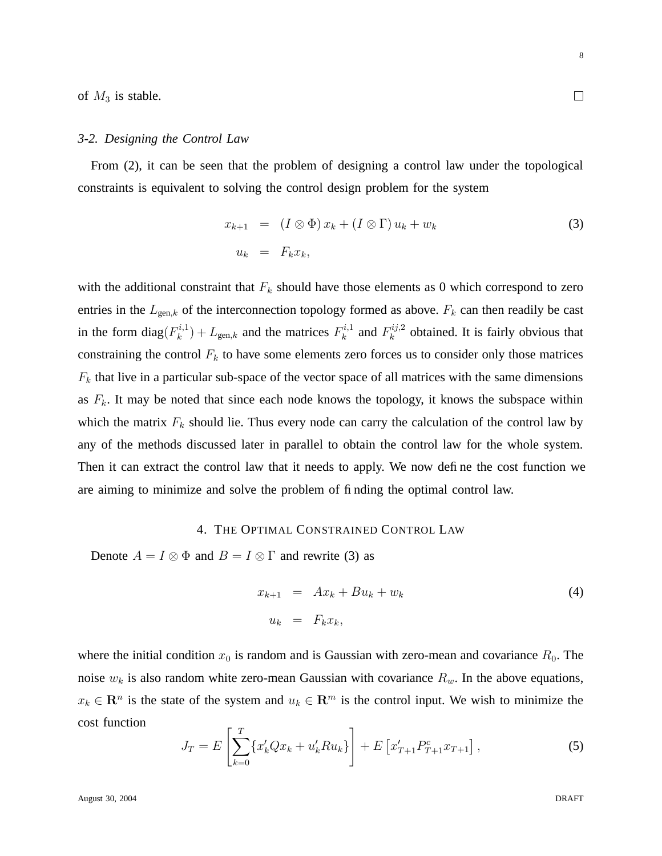of  $M_3$  is stable.

#### *3-2. Designing the Control Law*

From (2), it can be seen that the problem of designing a control law under the topological constraints is equivalent to solving the control design problem for the system

$$
x_{k+1} = (I \otimes \Phi) x_k + (I \otimes \Gamma) u_k + w_k
$$
  
\n
$$
u_k = F_k x_k,
$$
\n(3)

with the additional constraint that  $F_k$  should have those elements as 0 which correspond to zero entries in the  $L_{gen,k}$  of the interconnection topology formed as above.  $F_k$  can then readily be cast in the form diag $(F_k^{i,1})$  $(k_k^{i,1}) + L_{gen,k}$  and the matrices  $F_k^{i,1}$  $k^{i,1}$  and  $F_k^{ij,2}$  $\kappa^{(n)}$  obtained. It is fairly obvious that constraining the control  $F_k$  to have some elements zero forces us to consider only those matrices  $F_k$  that live in a particular sub-space of the vector space of all matrices with the same dimensions as  $F_k$ . It may be noted that since each node knows the topology, it knows the subspace within which the matrix  $F_k$  should lie. Thus every node can carry the calculation of the control law by any of the methods discussed later in parallel to obtain the control law for the whole system. Then it can extract the control law that it needs to apply. We now define the cost function we are aiming to minimize and solve the problem of finding the optimal control law.

# 4. THE OPTIMAL CONSTRAINED CONTROL LAW

Denote  $A = I \otimes \Phi$  and  $B = I \otimes \Gamma$  and rewrite (3) as

$$
x_{k+1} = Ax_k + Bu_k + w_k
$$
  
\n
$$
u_k = F_k x_k,
$$
\n(4)

where the initial condition  $x_0$  is random and is Gaussian with zero-mean and covariance  $R_0$ . The noise  $w_k$  is also random white zero-mean Gaussian with covariance  $R_w$ . In the above equations,  $x_k \in \mathbb{R}^n$  is the state of the system and  $u_k \in \mathbb{R}^m$  is the control input. We wish to minimize the cost function

$$
J_T = E\left[\sum_{k=0}^T \{x'_k Q x_k + u'_k R u_k\}\right] + E\left[x'_{T+1} P_{T+1}^c x_{T+1}\right],\tag{5}
$$

口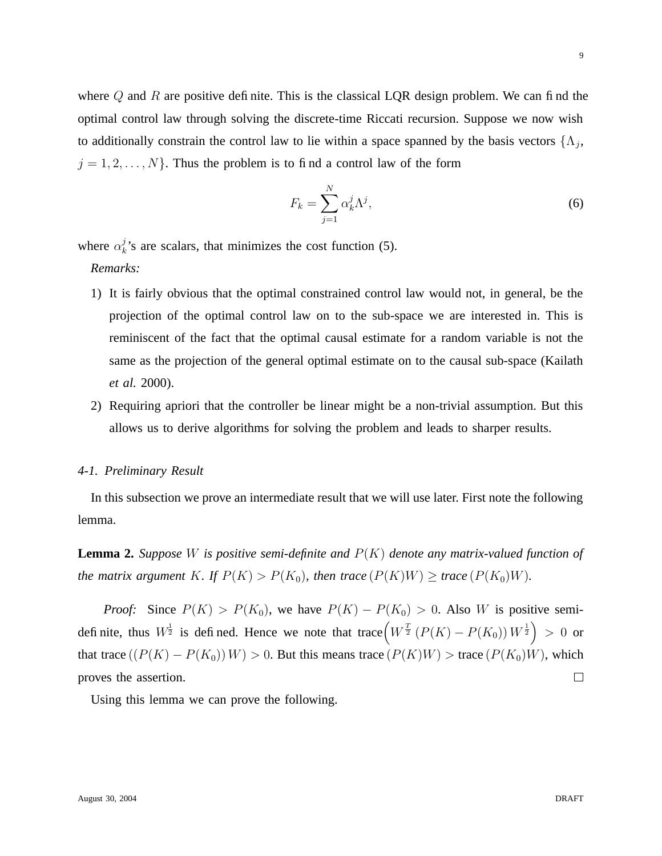where  $Q$  and  $R$  are positive definite. This is the classical LQR design problem. We can find the optimal control law through solving the discrete-time Riccati recursion. Suppose we now wish to additionally constrain the control law to lie within a space spanned by the basis vectors  $\{\Lambda_j,$  $j = 1, 2, \dots, N$ . Thus the problem is to find a control law of the form

$$
F_k = \sum_{j=1}^{N} \alpha_k^j \Lambda^j,\tag{6}
$$

where  $\alpha_k^j$  $k<sup>j</sup>$ 's are scalars, that minimizes the cost function (5).

*Remarks:*

- 1) It is fairly obvious that the optimal constrained control law would not, in general, be the projection of the optimal control law on to the sub-space we are interested in. This is reminiscent of the fact that the optimal causal estimate for a random variable is not the same as the projection of the general optimal estimate on to the causal sub-space (Kailath *et al.* 2000).
- 2) Requiring apriori that the controller be linear might be a non-trivial assumption. But this allows us to derive algorithms for solving the problem and leads to sharper results.

#### *4-1. Preliminary Result*

In this subsection we prove an intermediate result that we will use later. First note the following lemma.

**Lemma 2.** Suppose W is positive semi-definite and  $P(K)$  denote any matrix-valued function of *the matrix argument* K*. If*  $P(K) > P(K_0)$ *, then trace*  $(P(K)W) \geq$  *trace*  $(P(K_0)W)$ *.* 

*Proof:* Since  $P(K) > P(K_0)$ , we have  $P(K) - P(K_0) > 0$ . Also W is positive semidefinite, thus  $W^{\frac{1}{2}}$  is defined. Hence we note that trace  $(W^{\frac{T}{2}}(P(K) - P(K_0))W^{\frac{1}{2}}) > 0$  or that trace  $((P(K) - P(K_0))W) > 0$ . But this means trace  $(P(K)W) >$  trace  $(P(K_0)W)$ , which proves the assertion.  $\Box$ 

Using this lemma we can prove the following.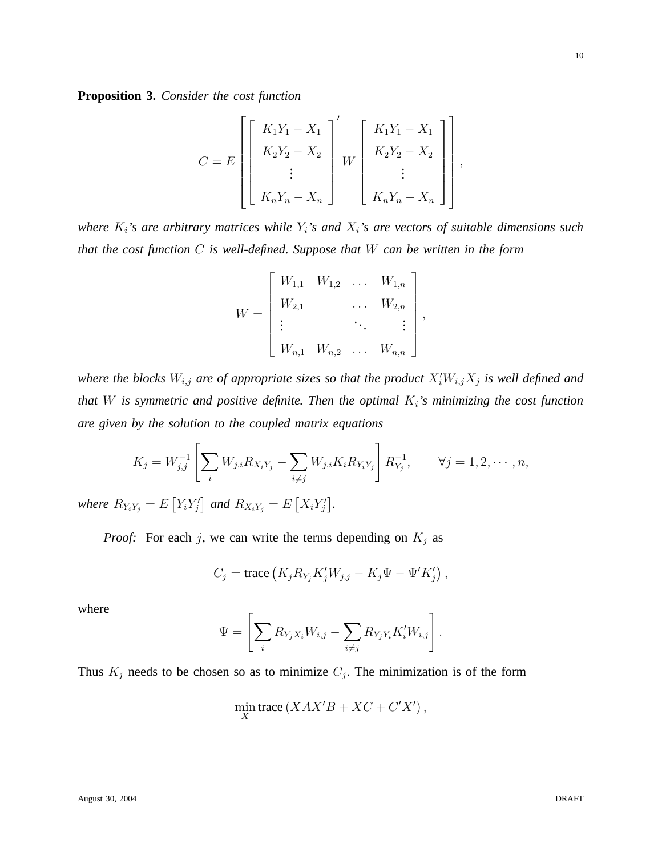**Proposition 3.** *Consider the cost function*

$$
C = E\left[\begin{bmatrix} K_1 Y_1 - X_1 \\ K_2 Y_2 - X_2 \\ \vdots \\ K_n Y_n - X_n \end{bmatrix}^{\prime} W \begin{bmatrix} K_1 Y_1 - X_1 \\ K_2 Y_2 - X_2 \\ \vdots \\ K_n Y_n - X_n \end{bmatrix} \right],
$$

*where* Ki*'s are arbitrary matrices while* Yi*'s and* Xi*'s are vectors of suitable dimensions such that the cost function* C *is well-defined. Suppose that* W *can be written in the form*

$$
W = \begin{bmatrix} W_{1,1} & W_{1,2} & \dots & W_{1,n} \\ W_{2,1} & & \dots & W_{2,n} \\ \vdots & & \ddots & \vdots \\ W_{n,1} & W_{n,2} & \dots & W_{n,n} \end{bmatrix},
$$

where the blocks  $W_{i,j}$  are of appropriate sizes so that the product  $X_i'W_{i,j}X_j$  is well defined and *that* W *is symmetric and positive definite. Then the optimal* Ki*'s minimizing the cost function are given by the solution to the coupled matrix equations*

$$
K_j = W_{j,j}^{-1} \left[ \sum_i W_{j,i} R_{X_i Y_j} - \sum_{i \neq j} W_{j,i} K_i R_{Y_i Y_j} \right] R_{Y_j}^{-1}, \qquad \forall j = 1, 2, \cdots, n,
$$
  
where  $R_{Y_i Y_j} = E \left[ Y_i Y_j' \right]$  and  $R_{X_i Y_j} = E \left[ X_i Y_j' \right]$ .

*Proof:* For each j, we can write the terms depending on  $K_j$  as

$$
C_j = \text{trace}\left(K_j R_{Y_j} K'_j W_{j,j} - K_j \Psi - \Psi' K'_j\right),
$$

where

$$
\Psi = \left[ \sum_i R_{Y_j X_i} W_{i,j} - \sum_{i \neq j} R_{Y_j Y_i} K'_i W_{i,j} \right].
$$

Thus  $K_j$  needs to be chosen so as to minimize  $C_j$ . The minimization is of the form

$$
\min_{X} \text{trace}\left( XAX'B + XC + C'X' \right),\,
$$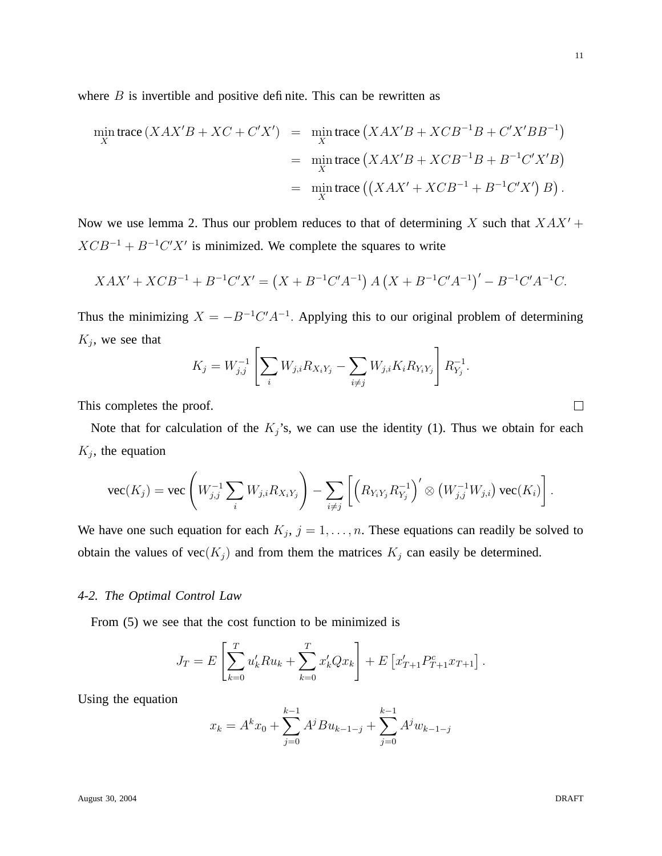11

where  $B$  is invertible and positive definite. This can be rewritten as

$$
\min_{X} \text{trace}\left(XAX'B + XC + C'X'\right) = \min_{X} \text{trace}\left(XAX'B + XCB^{-1}B + C'X'BB^{-1}\right)
$$
\n
$$
= \min_{X} \text{trace}\left(XAX'B + XCB^{-1}B + B^{-1}C'X'B\right)
$$
\n
$$
= \min_{X} \text{trace}\left(\left(XAX' + XCB^{-1} + B^{-1}C'X'\right)B\right).
$$

Now we use lemma 2. Thus our problem reduces to that of determining X such that  $XAX' +$  $XCB^{-1} + B^{-1}C'X'$  is minimized. We complete the squares to write

$$
XAX' + XCB^{-1} + B^{-1}C'X' = (X + B^{-1}C'A^{-1}) A (X + B^{-1}C'A^{-1})' - B^{-1}C'A^{-1}C.
$$

Thus the minimizing  $X = -B^{-1}C'A^{-1}$ . Applying this to our original problem of determining  $K_j$ , we see that

$$
K_j = W_{j,j}^{-1} \left[ \sum_i W_{j,i} R_{X_i Y_j} - \sum_{i \neq j} W_{j,i} K_i R_{Y_i Y_j} \right] R_{Y_j}^{-1}.
$$

This completes the proof.

Note that for calculation of the  $K_j$ 's, we can use the identity (1). Thus we obtain for each  $K_j$ , the equation

$$
\text{vec}(K_j) = \text{vec}\left(W_{j,j}^{-1}\sum_i W_{j,i}R_{X_iY_j}\right) - \sum_{i\neq j}\left[\left(R_{Y_iY_j}R_{Y_j}^{-1}\right)'\otimes\left(W_{j,j}^{-1}W_{j,i}\right)\text{vec}(K_i)\right].
$$

We have one such equation for each  $K_j$ ,  $j = 1, \ldots, n$ . These equations can readily be solved to obtain the values of  $\text{vec}(K_j)$  and from them the matrices  $K_j$  can easily be determined.

## *4-2. The Optimal Control Law*

From (5) we see that the cost function to be minimized is

$$
J_T = E\left[\sum_{k=0}^T u'_k R u_k + \sum_{k=0}^T x'_k Q x_k\right] + E\left[x'_{T+1} P_{T+1}^c x_{T+1}\right].
$$

Using the equation

$$
x_k = A^k x_0 + \sum_{j=0}^{k-1} A^j B u_{k-1-j} + \sum_{j=0}^{k-1} A^j w_{k-1-j}
$$

 $\Box$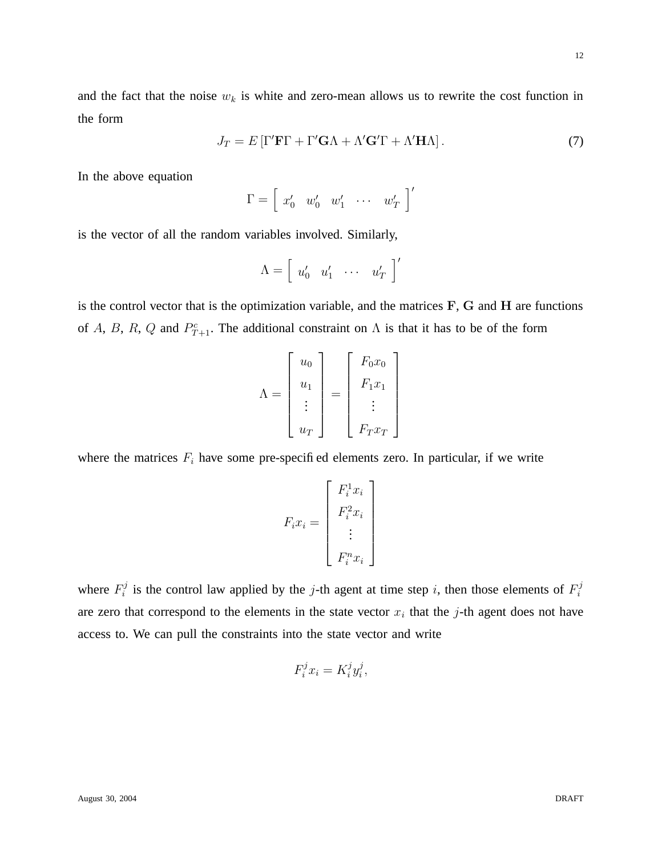12

and the fact that the noise  $w_k$  is white and zero-mean allows us to rewrite the cost function in the form

$$
J_T = E\left[\Gamma'\mathbf{F}\Gamma + \Gamma'\mathbf{G}\Lambda + \Lambda'\mathbf{G}'\Gamma + \Lambda'\mathbf{H}\Lambda\right].\tag{7}
$$

In the above equation

$$
\Gamma = \left[ \begin{array}{cccc} x_0' & w_0' & w_1' & \cdots & w_T' \end{array} \right]'
$$

is the vector of all the random variables involved. Similarly,

$$
\Lambda = \left[ \begin{array}{ccc} u'_0 & u'_1 & \cdots & u'_T \end{array} \right]'
$$

is the control vector that is the optimization variable, and the matrices F, G and H are functions of A, B, R, Q and  $P_{T+1}^c$ . The additional constraint on  $\Lambda$  is that it has to be of the form

$$
\Lambda = \begin{bmatrix} u_0 \\ u_1 \\ \vdots \\ u_T \end{bmatrix} = \begin{bmatrix} F_0 x_0 \\ F_1 x_1 \\ \vdots \\ F_T x_T \end{bmatrix}
$$

where the matrices  $F_i$  have some pre-specified elements zero. In particular, if we write

$$
F_i x_i = \begin{bmatrix} F_i^1 x_i \\ F_i^2 x_i \\ \vdots \\ F_i^n x_i \end{bmatrix}
$$

where  $F_i^j$  $i$  is the control law applied by the j-th agent at time step i, then those elements of  $F_i^j$ i are zero that correspond to the elements in the state vector  $x_i$  that the j-th agent does not have access to. We can pull the constraints into the state vector and write

$$
F_i^j x_i = K_i^j y_i^j,
$$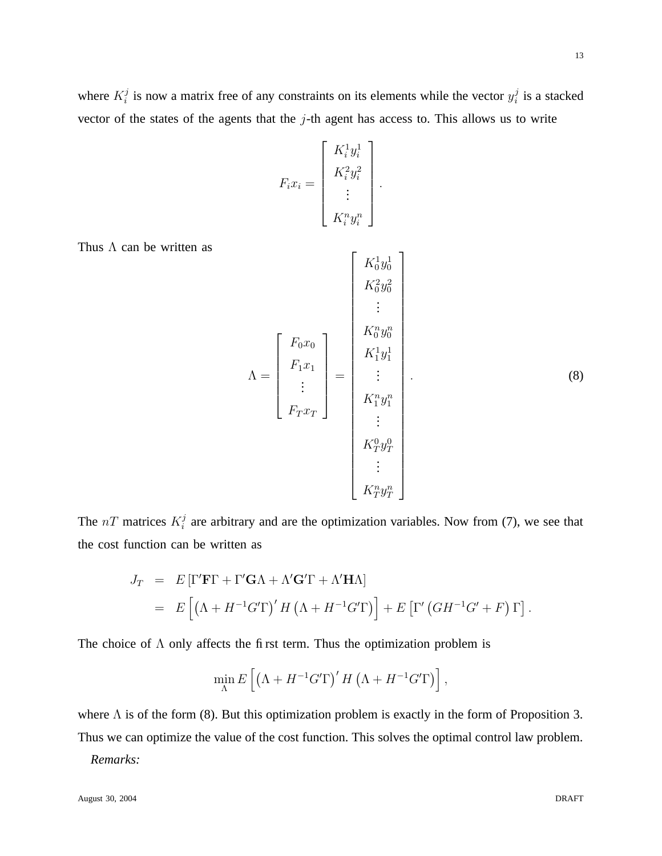where  $K_i^j$  $i$  is now a matrix free of any constraints on its elements while the vector  $y_i^j$  $i$  is a stacked vector of the states of the agents that the  $j$ -th agent has access to. This allows us to write

$$
F_i x_i = \begin{bmatrix} K_i^1 y_i^1 \\ K_i^2 y_i^2 \\ \vdots \\ K_i^n y_i^n \end{bmatrix}.
$$

Thus  $\Lambda$  can be written as

$$
\Lambda = \begin{bmatrix} F_{0}x_{0} \\ F_{1}x_{1} \\ \vdots \\ F_{T}x_{T} \end{bmatrix} = \begin{bmatrix} K_{0}^{1}y_{0}^{1} \\ K_{0}^{n}y_{0}^{n} \\ \vdots \\ K_{1}^{n}y_{1}^{1} \\ \vdots \\ K_{T}^{n}y_{T}^{n} \end{bmatrix} .
$$
\n(8)

The  $nT$  matrices  $K_i^j$  $i<sub>i</sub>$  are arbitrary and are the optimization variables. Now from (7), we see that the cost function can be written as

$$
J_T = E [\Gamma' \mathbf{F} \Gamma + \Gamma' \mathbf{G} \Lambda + \Lambda' \mathbf{G}' \Gamma + \Lambda' \mathbf{H} \Lambda]
$$
  
= 
$$
E [(\Lambda + H^{-1} G' \Gamma)' H (\Lambda + H^{-1} G' \Gamma)] + E [\Gamma' (G H^{-1} G' + F) \Gamma].
$$

The choice of  $\Lambda$  only affects the first term. Thus the optimization problem is

$$
\min_{\Lambda} E\left[\left(\Lambda + H^{-1}G'\Gamma\right)'H\left(\Lambda + H^{-1}G'\Gamma\right)\right],
$$

where  $\Lambda$  is of the form (8). But this optimization problem is exactly in the form of Proposition 3. Thus we can optimize the value of the cost function. This solves the optimal control law problem.

*Remarks:*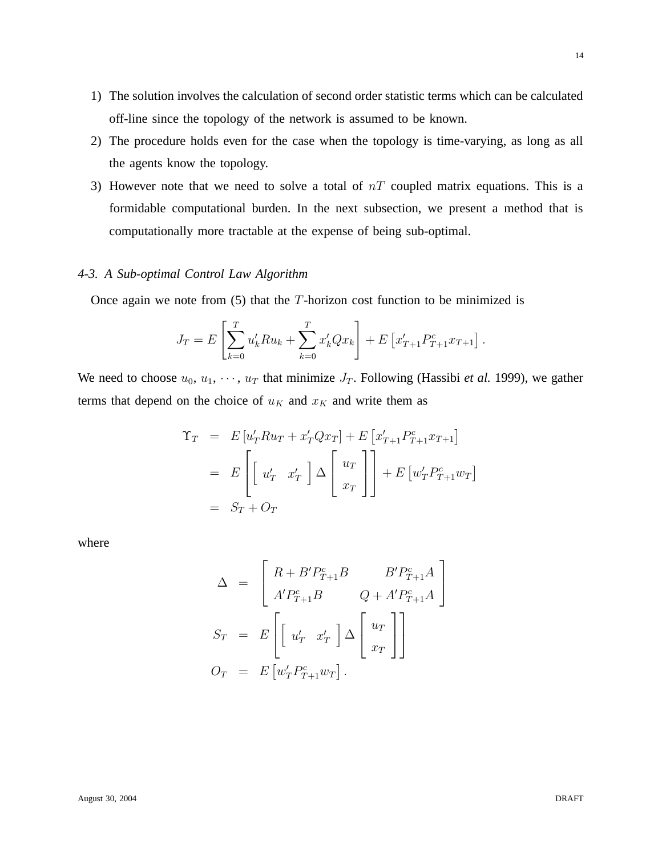- 1) The solution involves the calculation of second order statistic terms which can be calculated off-line since the topology of the network is assumed to be known.
- 2) The procedure holds even for the case when the topology is time-varying, as long as all the agents know the topology.
- 3) However note that we need to solve a total of  $nT$  coupled matrix equations. This is a formidable computational burden. In the next subsection, we present a method that is computationally more tractable at the expense of being sub-optimal.

# *4-3. A Sub-optimal Control Law Algorithm*

Once again we note from  $(5)$  that the T-horizon cost function to be minimized is

$$
J_T = E\left[\sum_{k=0}^T u'_k R u_k + \sum_{k=0}^T x'_k Q x_k\right] + E\left[x'_{T+1} P^c_{T+1} x_{T+1}\right].
$$

We need to choose  $u_0, u_1, \dots, u_T$  that minimize  $J_T$ . Following (Hassibi *et al.* 1999), we gather terms that depend on the choice of  $u_K$  and  $x_K$  and write them as

$$
\begin{aligned}\n\Upsilon_T &= E[u'_T R u_T + x'_T Q x_T] + E[x'_{T+1} P_{T+1}^c x_{T+1}] \\
&= E\left[\begin{bmatrix} u'_T & x'_T \end{bmatrix} \Delta \begin{bmatrix} u_T \\ x_T \end{bmatrix}\right] + E[u'_T P_{T+1}^c w_T] \\
&= S_T + O_T\n\end{aligned}
$$

where

$$
\Delta = \begin{bmatrix} R + B' P_{T+1}^c B & B' P_{T+1}^c A \\ A' P_{T+1}^c B & Q + A' P_{T+1}^c A \end{bmatrix}
$$
  

$$
S_T = E \begin{bmatrix} u'_T & x'_T \end{bmatrix} \Delta \begin{bmatrix} u_T \\ x_T \end{bmatrix}
$$
  

$$
O_T = E \begin{bmatrix} w'_T P_{T+1}^c w_T \end{bmatrix}.
$$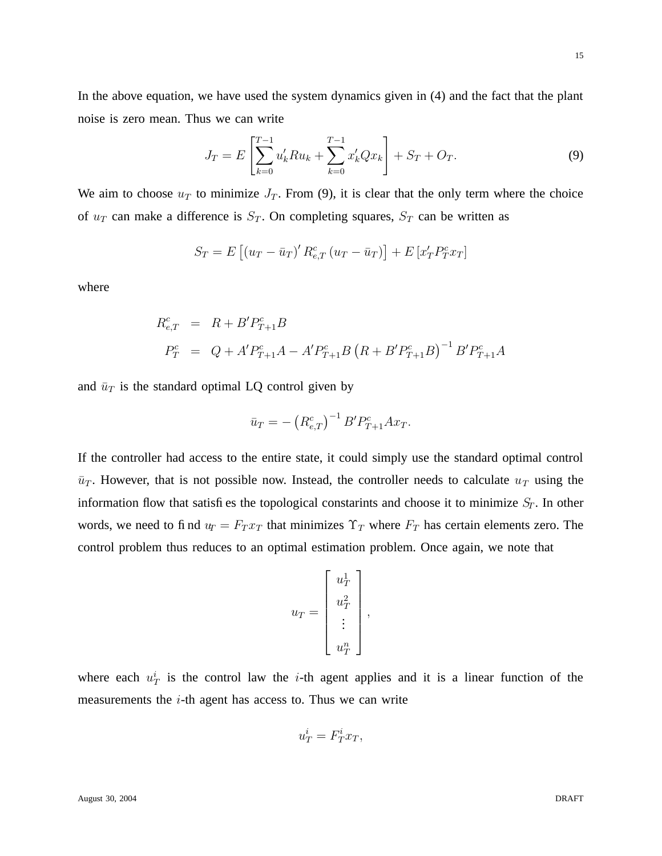In the above equation, we have used the system dynamics given in (4) and the fact that the plant noise is zero mean. Thus we can write

$$
J_T = E\left[\sum_{k=0}^{T-1} u'_k R u_k + \sum_{k=0}^{T-1} x'_k Q x_k\right] + S_T + O_T.
$$
\n(9)

We aim to choose  $u_T$  to minimize  $J_T$ . From (9), it is clear that the only term where the choice of  $u_T$  can make a difference is  $S_T$ . On completing squares,  $S_T$  can be written as

$$
S_T = E\left[\left(u_T - \bar{u}_T\right)' R_{e,T}^c \left(u_T - \bar{u}_T\right)\right] + E\left[x'_T P_T^c x_T\right]
$$

where

$$
R_{e,T}^{c} = R + B'P_{T+1}^{c}B
$$
  
\n
$$
P_{T}^{c} = Q + A'P_{T+1}^{c}A - A'P_{T+1}^{c}B (R + B'P_{T+1}^{c}B)^{-1}B'P_{T+1}^{c}A
$$

and  $\bar{u}_T$  is the standard optimal LQ control given by

$$
\bar{u}_T = -\left(R_{e,T}^c\right)^{-1} B' P_{T+1}^c A x_T.
$$

If the controller had access to the entire state, it could simply use the standard optimal control  $\bar{u}_T$ . However, that is not possible now. Instead, the controller needs to calculate  $u_T$  using the information flow that satisfies the topological constarints and choose it to minimize  $S_T$ . In other words, we need to find  $u_T = F_T x_T$  that minimizes  $\Upsilon_T$  where  $F_T$  has certain elements zero. The control problem thus reduces to an optimal estimation problem. Once again, we note that

$$
u_T = \begin{bmatrix} u_T^1 \\ u_T^2 \\ \vdots \\ u_T^n \end{bmatrix},
$$

where each  $u_T^i$  is the control law the *i*-th agent applies and it is a linear function of the measurements the  $i$ -th agent has access to. Thus we can write

$$
u_T^i = F_T^i x_T,
$$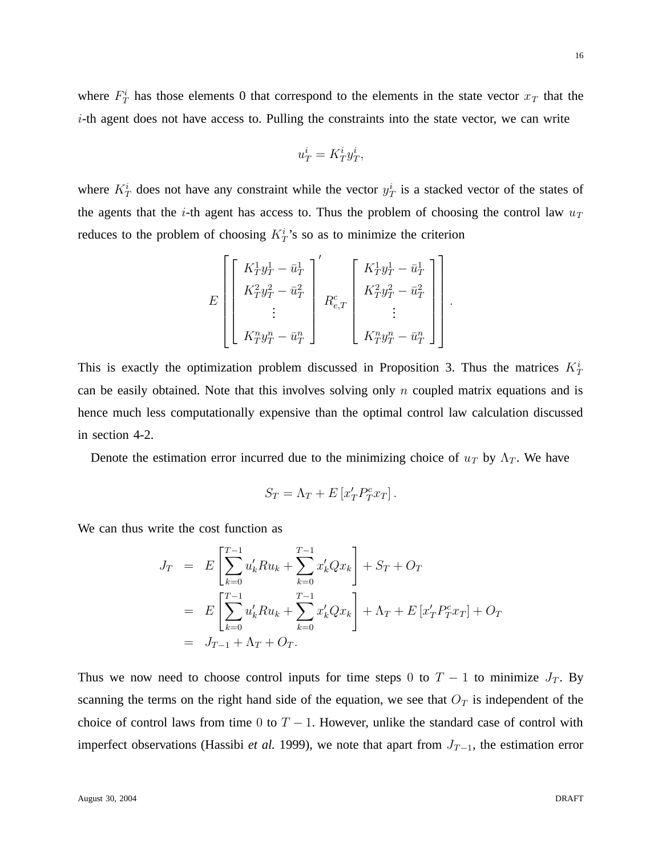where  $F_T^i$  has those elements 0 that correspond to the elements in the state vector  $x_T$  that the  $i$ -th agent does not have access to. Pulling the constraints into the state vector, we can write

$$
u_T^i = K_T^i y_T^i,
$$

where  $K_T^i$  does not have any constraint while the vector  $y_T^i$  is a stacked vector of the states of the agents that the *i*-th agent has access to. Thus the problem of choosing the control law  $u_T$ reduces to the problem of choosing  $K_T^i$ 's so as to minimize the criterion

$$
E\left[\begin{bmatrix} K_T^1 y_T^1 - \bar{u}_T^1 \\ K_T^2 y_T^2 - \bar{u}_T^2 \\ \vdots \\ K_T^n y_T^n - \bar{u}_T^n \end{bmatrix} \begin{bmatrix} K_T^1 y_T^1 - \bar{u}_T^1 \\ K_T^2 y_T^2 - \bar{u}_T^2 \\ \vdots \\ K_T^n y_T^n - \bar{u}_T^n \end{bmatrix} \right]
$$

.

This is exactly the optimization problem discussed in Proposition 3. Thus the matrices  $K_T^i$ can be easily obtained. Note that this involves solving only  $n$  coupled matrix equations and is hence much less computationally expensive than the optimal control law calculation discussed in section 4-2.

Denote the estimation error incurred due to the minimizing choice of  $u_T$  by  $\Lambda_T$ . We have

$$
S_T = \Lambda_T + E\left[x'_T P^c_T x_T\right].
$$

We can thus write the cost function as

$$
J_T = E\left[\sum_{k=0}^{T-1} u'_k R u_k + \sum_{k=0}^{T-1} x'_k Q x_k\right] + S_T + O_T
$$
  
= 
$$
E\left[\sum_{k=0}^{T-1} u'_k R u_k + \sum_{k=0}^{T-1} x'_k Q x_k\right] + \Lambda_T + E\left[x'_T P_T^c x_T\right] + O_T
$$
  
= 
$$
J_{T-1} + \Lambda_T + O_T.
$$

Thus we now need to choose control inputs for time steps 0 to  $T - 1$  to minimize  $J_T$ . By scanning the terms on the right hand side of the equation, we see that  $O<sub>T</sub>$  is independent of the choice of control laws from time 0 to  $T - 1$ . However, unlike the standard case of control with imperfect observations (Hassibi *et al.* 1999), we note that apart from  $J_{T-1}$ , the estimation error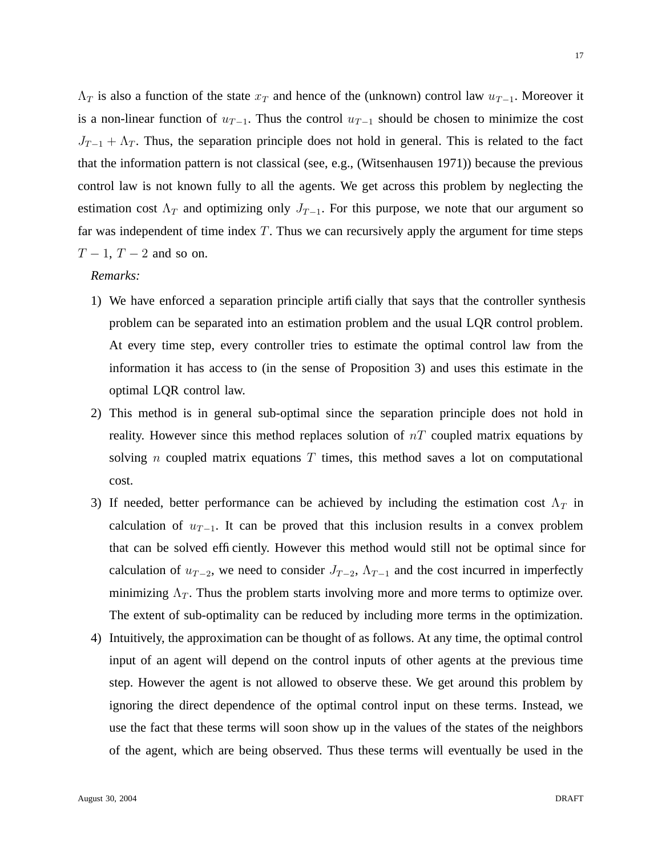$\Lambda_T$  is also a function of the state  $x_T$  and hence of the (unknown) control law  $u_{T-1}$ . Moreover it is a non-linear function of  $u_{T-1}$ . Thus the control  $u_{T-1}$  should be chosen to minimize the cost  $J_{T-1} + \Lambda_T$ . Thus, the separation principle does not hold in general. This is related to the fact that the information pattern is not classical (see, e.g., (Witsenhausen 1971)) because the previous control law is not known fully to all the agents. We get across this problem by neglecting the estimation cost  $\Lambda_T$  and optimizing only  $J_{T-1}$ . For this purpose, we note that our argument so far was independent of time index  $T$ . Thus we can recursively apply the argument for time steps  $T-1$ ,  $T-2$  and so on.

#### *Remarks:*

- 1) We have enforced a separation principle artificially that says that the controller synthesis problem can be separated into an estimation problem and the usual LQR control problem. At every time step, every controller tries to estimate the optimal control law from the information it has access to (in the sense of Proposition 3) and uses this estimate in the optimal LQR control law.
- 2) This method is in general sub-optimal since the separation principle does not hold in reality. However since this method replaces solution of  $nT$  coupled matrix equations by solving *n* coupled matrix equations  $T$  times, this method saves a lot on computational cost.
- 3) If needed, better performance can be achieved by including the estimation cost  $\Lambda_T$  in calculation of  $u_{T-1}$ . It can be proved that this inclusion results in a convex problem that can be solved efficiently. However this method would still not be optimal since for calculation of  $u_{T-2}$ , we need to consider  $J_{T-2}$ ,  $\Lambda_{T-1}$  and the cost incurred in imperfectly minimizing  $\Lambda_T$ . Thus the problem starts involving more and more terms to optimize over. The extent of sub-optimality can be reduced by including more terms in the optimization.
- 4) Intuitively, the approximation can be thought of as follows. At any time, the optimal control input of an agent will depend on the control inputs of other agents at the previous time step. However the agent is not allowed to observe these. We get around this problem by ignoring the direct dependence of the optimal control input on these terms. Instead, we use the fact that these terms will soon show up in the values of the states of the neighbors of the agent, which are being observed. Thus these terms will eventually be used in the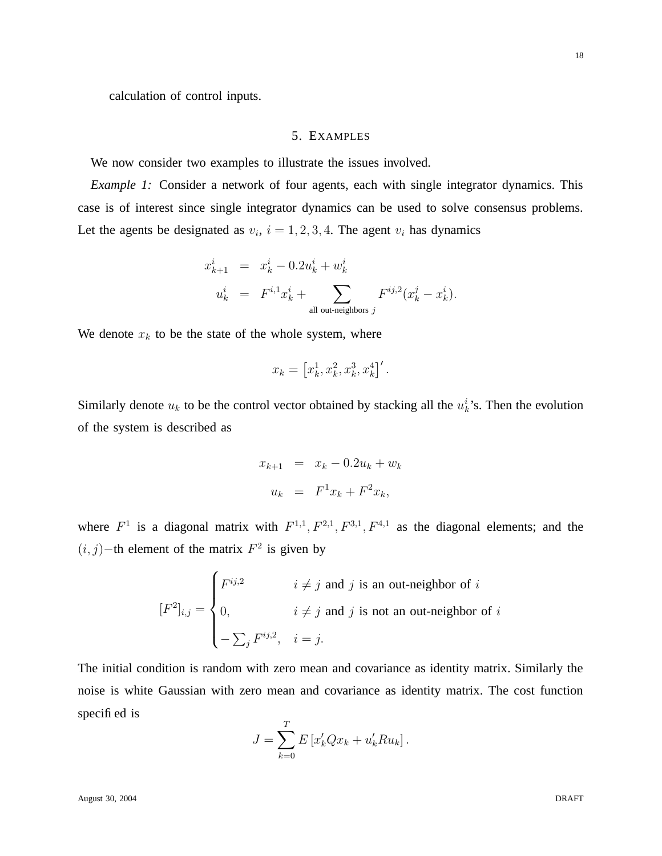calculation of control inputs.

# 5. EXAMPLES

We now consider two examples to illustrate the issues involved.

*Example 1:* Consider a network of four agents, each with single integrator dynamics. This case is of interest since single integrator dynamics can be used to solve consensus problems. Let the agents be designated as  $v_i$ ,  $i = 1, 2, 3, 4$ . The agent  $v_i$  has dynamics

$$
x_{k+1}^i = x_k^i - 0.2u_k^i + w_k^i
$$
  
\n
$$
u_k^i = F^{i,1}x_k^i + \sum_{\text{all out-neighbors } j} F^{ij,2}(x_k^j - x_k^i).
$$

We denote  $x_k$  to be the state of the whole system, where

$$
x_k = \left[ x_k^1, x_k^2, x_k^3, x_k^4 \right]'
$$

Similarly denote  $u_k$  to be the control vector obtained by stacking all the  $u_k^i$ 's. Then the evolution of the system is described as

$$
x_{k+1} = x_k - 0.2u_k + w_k
$$
  

$$
u_k = F^1 x_k + F^2 x_k,
$$

where  $F^1$  is a diagonal matrix with  $F^{1,1}, F^{2,1}, F^{3,1}, F^{4,1}$  as the diagonal elements; and the  $(i, j)$ -th element of the matrix  $F^2$  is given by

$$
[F^2]_{i,j} = \begin{cases} F^{ij,2} & i \neq j \text{ and } j \text{ is an out-neighbor of } i \\ 0, & i \neq j \text{ and } j \text{ is not an out-neighbor of } i \\ -\sum_j F^{ij,2}, & i = j. \end{cases}
$$

The initial condition is random with zero mean and covariance as identity matrix. Similarly the noise is white Gaussian with zero mean and covariance as identity matrix. The cost function specified is

$$
J = \sum_{k=0}^{T} E\left[x'_k Q x_k + u'_k R u_k\right].
$$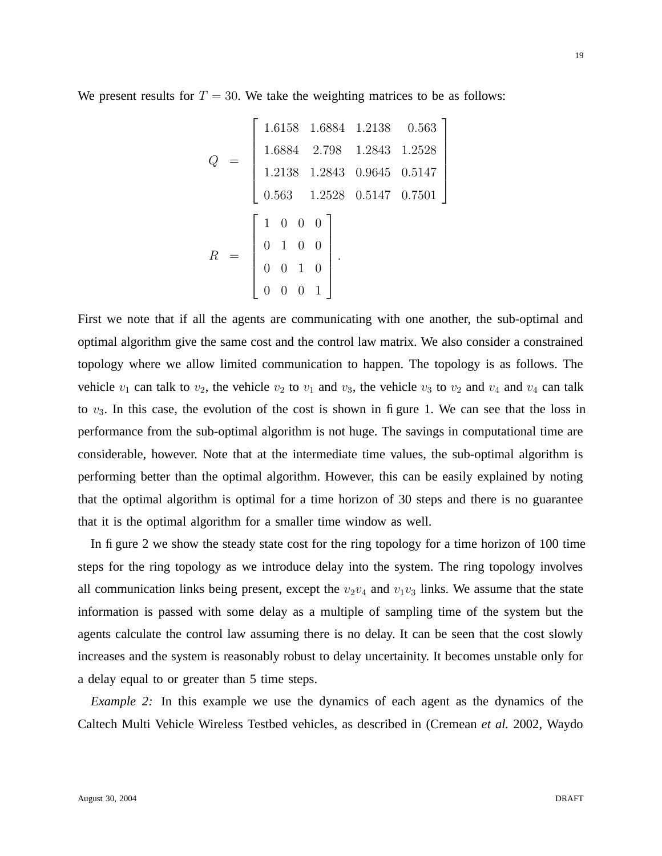We present results for  $T = 30$ . We take the weighting matrices to be as follows:

$$
Q = \begin{bmatrix} 1.6158 & 1.6884 & 1.2138 & 0.563 \\ 1.6884 & 2.798 & 1.2843 & 1.2528 \\ 1.2138 & 1.2843 & 0.9645 & 0.5147 \\ 0.563 & 1.2528 & 0.5147 & 0.7501 \end{bmatrix}
$$

$$
R = \begin{bmatrix} 1 & 0 & 0 & 0 \\ 0 & 1 & 0 & 0 \\ 0 & 0 & 1 & 0 \\ 0 & 0 & 0 & 1 \end{bmatrix}.
$$

First we note that if all the agents are communicating with one another, the sub-optimal and optimal algorithm give the same cost and the control law matrix. We also consider a constrained topology where we allow limited communication to happen. The topology is as follows. The vehicle  $v_1$  can talk to  $v_2$ , the vehicle  $v_2$  to  $v_1$  and  $v_3$ , the vehicle  $v_3$  to  $v_2$  and  $v_4$  and  $v_4$  can talk to  $v_3$ . In this case, the evolution of the cost is shown in figure 1. We can see that the loss in performance from the sub-optimal algorithm is not huge. The savings in computational time are considerable, however. Note that at the intermediate time values, the sub-optimal algorithm is performing better than the optimal algorithm. However, this can be easily explained by noting that the optimal algorithm is optimal for a time horizon of 30 steps and there is no guarantee that it is the optimal algorithm for a smaller time window as well.

In figure 2 we show the steady state cost for the ring topology for a time horizon of 100 time steps for the ring topology as we introduce delay into the system. The ring topology involves all communication links being present, except the  $v_2v_4$  and  $v_1v_3$  links. We assume that the state information is passed with some delay as a multiple of sampling time of the system but the agents calculate the control law assuming there is no delay. It can be seen that the cost slowly increases and the system is reasonably robust to delay uncertainity. It becomes unstable only for a delay equal to or greater than 5 time steps.

*Example 2:* In this example we use the dynamics of each agent as the dynamics of the Caltech Multi Vehicle Wireless Testbed vehicles, as described in (Cremean *et al.* 2002, Waydo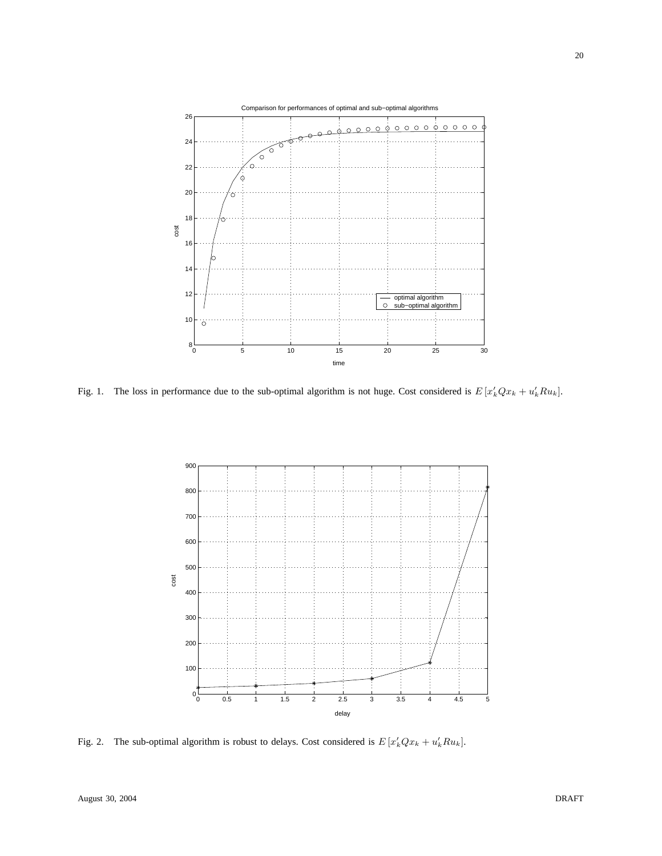

Fig. 1. The loss in performance due to the sub-optimal algorithm is not huge. Cost considered is  $E[x'_kQx_k + u'_kRu_k]$ .



Fig. 2. The sub-optimal algorithm is robust to delays. Cost considered is  $E[x_k'Qx_k + u_k'Ru_k]$ .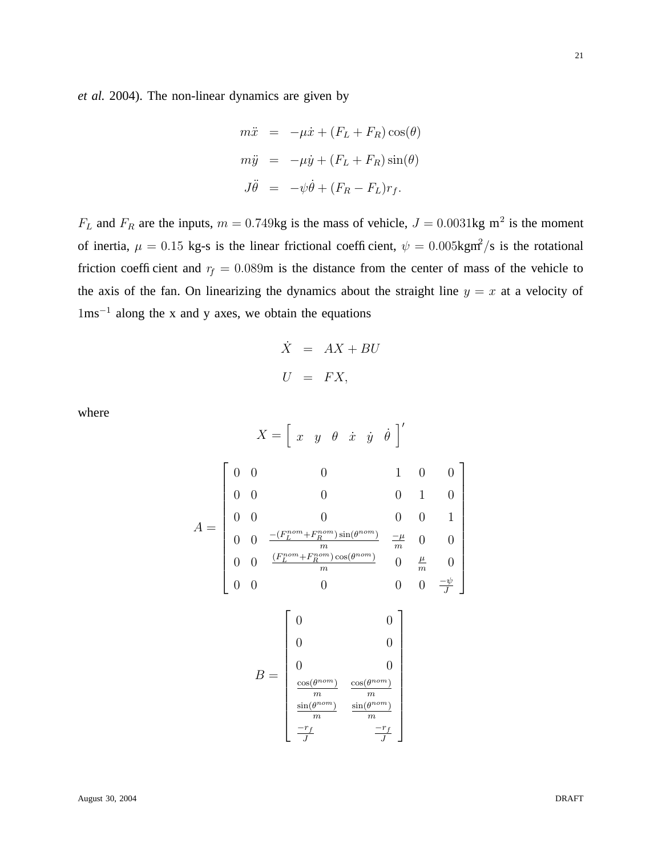*et al.* 2004). The non-linear dynamics are given by

$$
m\ddot{x} = -\mu \dot{x} + (F_L + F_R)\cos(\theta)
$$
  

$$
m\ddot{y} = -\mu \dot{y} + (F_L + F_R)\sin(\theta)
$$
  

$$
J\ddot{\theta} = -\psi \dot{\theta} + (F_R - F_L)r_f.
$$

 $F_L$  and  $F_R$  are the inputs,  $m = 0.749$ kg is the mass of vehicle,  $J = 0.0031$ kg m<sup>2</sup> is the moment of inertia,  $\mu = 0.15$  kg-s is the linear frictional coefficient,  $\psi = 0.005$ kgm<sup>2</sup>/s is the rotational friction coefficient and  $r_f = 0.089$ m is the distance from the center of mass of the vehicle to the axis of the fan. On linearizing the dynamics about the straight line  $y = x$  at a velocity of 1ms<sup>−</sup><sup>1</sup> along the x and y axes, we obtain the equations

$$
\dot{X} = AX + BU
$$
  

$$
U = FX,
$$

1

 $\overline{1}$  $\overline{1}$  $\overline{1}$  $\mathbf{I}$  $\overline{a}$  $\overline{1}$  $\overline{1}$  $\overline{1}$  $\overline{1}$  $\overline{1}$  $\mathbf{I}$  $\overline{1}$ 

where

$$
X = \begin{bmatrix} x & y & \theta & \dot{x} & \dot{y} & \dot{\theta} \end{bmatrix}'
$$
  
\n
$$
A = \begin{bmatrix} 0 & 0 & 0 & 0 & 1 & 0 & 0 \\ 0 & 0 & 0 & 0 & 0 & 1 & 0 \\ 0 & 0 & \frac{-(F_L^{nom} + F_R^{nom}) \sin(\theta^{nom})}{m} & \frac{-\mu}{m} & 0 & 0 \\ 0 & 0 & \frac{(F_L^{nom} + F_R^{nom}) \cos(\theta^{nom})}{m} & 0 & \frac{\mu}{m} & 0 \\ 0 & 0 & 0 & 0 & 0 & \frac{-\psi}{J} \\ 0 & 0 & 0 & 0 & 0 & \frac{-\psi}{J} \\ \frac{\cos(\theta^{nom})}{m} & \frac{\cos(\theta^{nom})}{m} & \frac{\cos(\theta^{nom})}{m} \\ \frac{\sin(\theta^{nom})}{m} & \frac{\sin(\theta^{nom})}{m} & \frac{\sin(\theta^{nom})}{m} \\ \frac{-r_f}{J} & \frac{-r_f}{J} & \frac{-r_f}{J} \end{bmatrix}
$$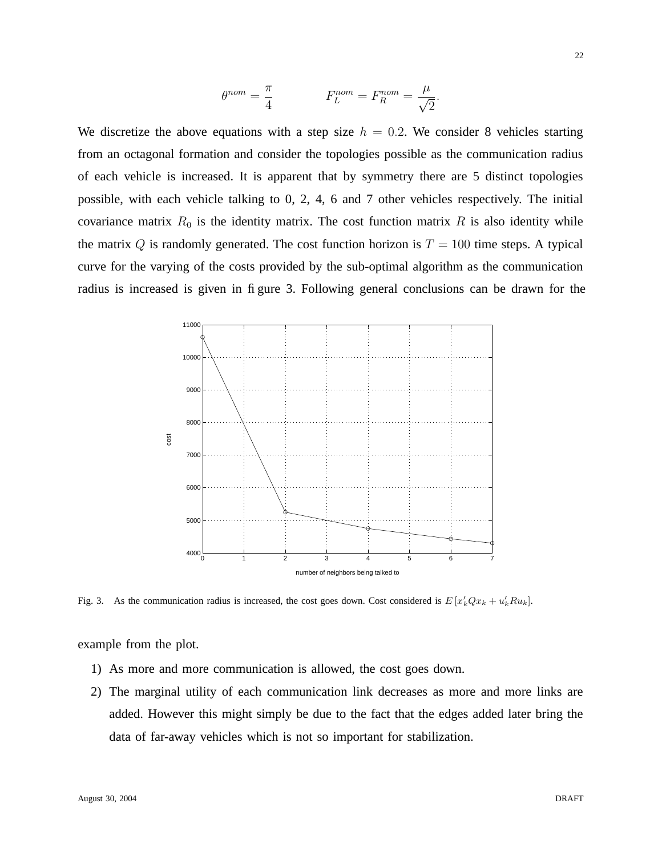$$
\theta^{nom} = \frac{\pi}{4} \qquad F_L^{nom} = F_R^{nom} = \frac{\mu}{\sqrt{2}}.
$$

We discretize the above equations with a step size  $h = 0.2$ . We consider 8 vehicles starting from an octagonal formation and consider the topologies possible as the communication radius of each vehicle is increased. It is apparent that by symmetry there are 5 distinct topologies possible, with each vehicle talking to 0, 2, 4, 6 and 7 other vehicles respectively. The initial covariance matrix  $R_0$  is the identity matrix. The cost function matrix R is also identity while the matrix Q is randomly generated. The cost function horizon is  $T = 100$  time steps. A typical curve for the varying of the costs provided by the sub-optimal algorithm as the communication radius is increased is given in figure 3. Following general conclusions can be drawn for the



Fig. 3. As the communication radius is increased, the cost goes down. Cost considered is  $E[x_k'Qx_k + u_k'Ru_k]$ .

example from the plot.

- 1) As more and more communication is allowed, the cost goes down.
- 2) The marginal utility of each communication link decreases as more and more links are added. However this might simply be due to the fact that the edges added later bring the data of far-away vehicles which is not so important for stabilization.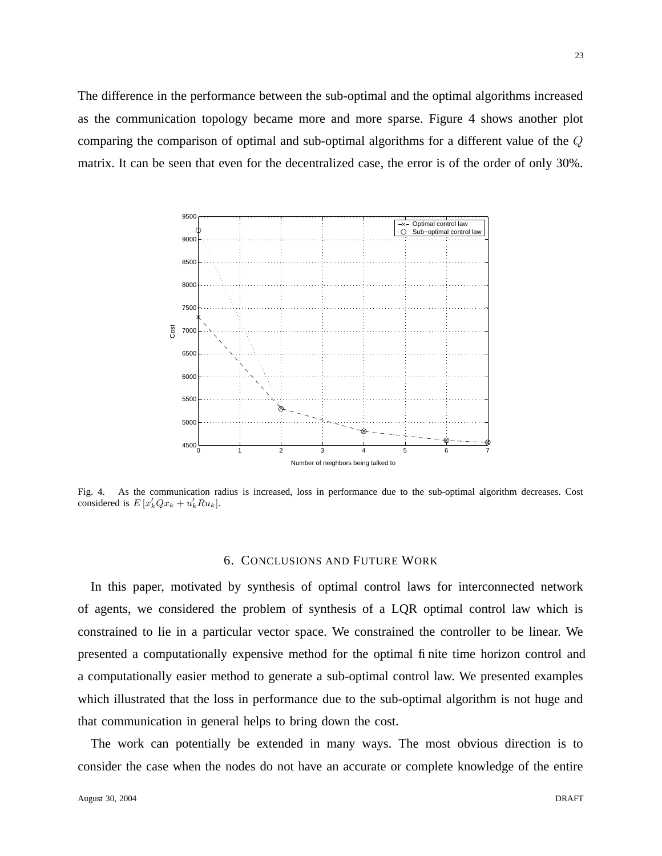The difference in the performance between the sub-optimal and the optimal algorithms increased as the communication topology became more and more sparse. Figure 4 shows another plot comparing the comparison of optimal and sub-optimal algorithms for a different value of the Q matrix. It can be seen that even for the decentralized case, the error is of the order of only 30%.



Fig. 4. As the communication radius is increased, loss in performance due to the sub-optimal algorithm decreases. Cost considered is  $E[x'_kQx_k + u'_kRu_k].$ 

## 6. CONCLUSIONS AND FUTURE WORK

In this paper, motivated by synthesis of optimal control laws for interconnected network of agents, we considered the problem of synthesis of a LQR optimal control law which is constrained to lie in a particular vector space. We constrained the controller to be linear. We presented a computationally expensive method for the optimal finite time horizon control and a computationally easier method to generate a sub-optimal control law. We presented examples which illustrated that the loss in performance due to the sub-optimal algorithm is not huge and that communication in general helps to bring down the cost.

The work can potentially be extended in many ways. The most obvious direction is to consider the case when the nodes do not have an accurate or complete knowledge of the entire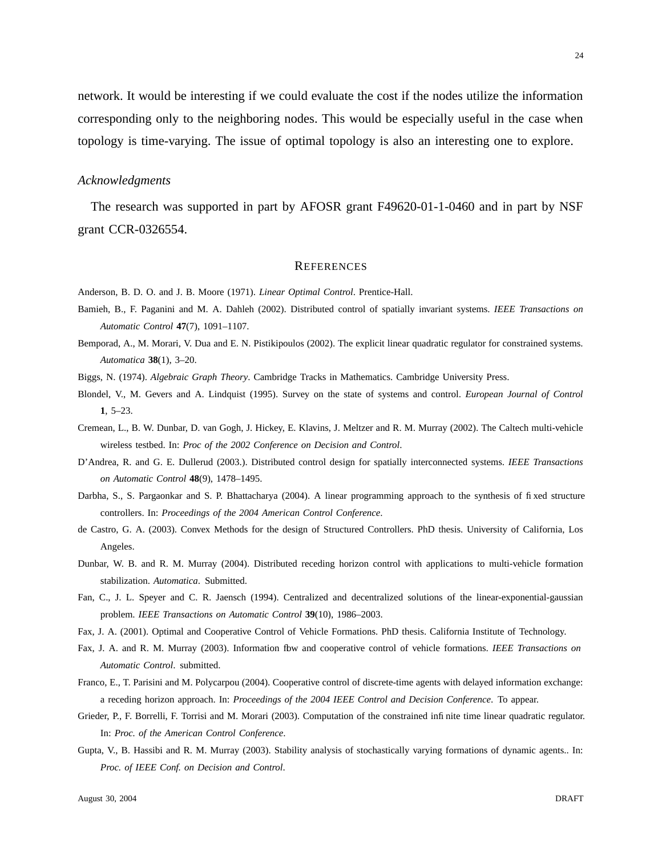network. It would be interesting if we could evaluate the cost if the nodes utilize the information corresponding only to the neighboring nodes. This would be especially useful in the case when topology is time-varying. The issue of optimal topology is also an interesting one to explore.

## *Acknowledgments*

The research was supported in part by AFOSR grant F49620-01-1-0460 and in part by NSF grant CCR-0326554.

#### **REFERENCES**

Anderson, B. D. O. and J. B. Moore (1971). *Linear Optimal Control*. Prentice-Hall.

- Bamieh, B., F. Paganini and M. A. Dahleh (2002). Distributed control of spatially invariant systems. *IEEE Transactions on Automatic Control* **47**(7), 1091–1107.
- Bemporad, A., M. Morari, V. Dua and E. N. Pistikipoulos (2002). The explicit linear quadratic regulator for constrained systems. *Automatica* **38**(1), 3–20.
- Biggs, N. (1974). *Algebraic Graph Theory*. Cambridge Tracks in Mathematics. Cambridge University Press.
- Blondel, V., M. Gevers and A. Lindquist (1995). Survey on the state of systems and control. *European Journal of Control* **1**, 5–23.
- Cremean, L., B. W. Dunbar, D. van Gogh, J. Hickey, E. Klavins, J. Meltzer and R. M. Murray (2002). The Caltech multi-vehicle wireless testbed. In: *Proc of the 2002 Conference on Decision and Control*.
- D'Andrea, R. and G. E. Dullerud (2003.). Distributed control design for spatially interconnected systems. *IEEE Transactions on Automatic Control* **48**(9), 1478–1495.
- Darbha, S., S. Pargaonkar and S. P. Bhattacharya (2004). A linear programming approach to the synthesis of fixed structure controllers. In: *Proceedings of the 2004 American Control Conference*.
- de Castro, G. A. (2003). Convex Methods for the design of Structured Controllers. PhD thesis. University of California, Los Angeles.
- Dunbar, W. B. and R. M. Murray (2004). Distributed receding horizon control with applications to multi-vehicle formation stabilization. *Automatica*. Submitted.
- Fan, C., J. L. Speyer and C. R. Jaensch (1994). Centralized and decentralized solutions of the linear-exponential-gaussian problem. *IEEE Transactions on Automatic Control* **39**(10), 1986–2003.
- Fax, J. A. (2001). Optimal and Cooperative Control of Vehicle Formations. PhD thesis. California Institute of Technology.
- Fax, J. A. and R. M. Murray (2003). Information fbw and cooperative control of vehicle formations. *IEEE Transactions* on *Automatic Control*. submitted.
- Franco, E., T. Parisini and M. Polycarpou (2004). Cooperative control of discrete-time agents with delayed information exchange: a receding horizon approach. In: *Proceedings of the 2004 IEEE Control and Decision Conference*. To appear.
- Grieder, P., F. Borrelli, F. Torrisi and M. Morari (2003). Computation of the constrained infinite time linear quadratic regulator. In: *Proc. of the American Control Conference*.
- Gupta, V., B. Hassibi and R. M. Murray (2003). Stability analysis of stochastically varying formations of dynamic agents.. In: *Proc. of IEEE Conf. on Decision and Control*.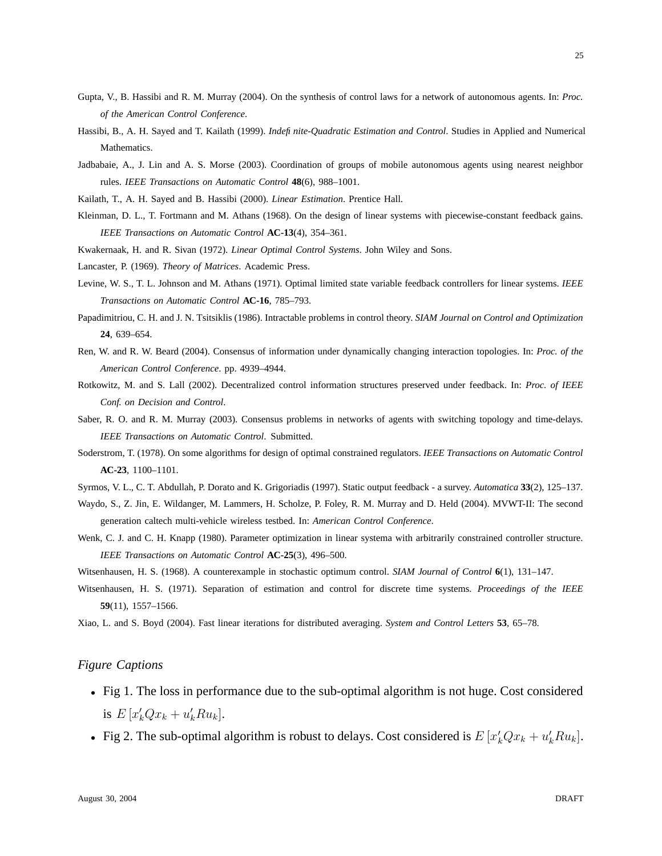- Gupta, V., B. Hassibi and R. M. Murray (2004). On the synthesis of control laws for a network of autonomous agents. In: *Proc. of the American Control Conference*.
- Hassibi, B., A. H. Sayed and T. Kailath (1999). *Indefinite-Quadratic Estimation and Control*. Studies in Applied and Numerical Mathematics.
- Jadbabaie, A., J. Lin and A. S. Morse (2003). Coordination of groups of mobile autonomous agents using nearest neighbor rules. *IEEE Transactions on Automatic Control* **48**(6), 988–1001.

Kailath, T., A. H. Sayed and B. Hassibi (2000). *Linear Estimation*. Prentice Hall.

- Kleinman, D. L., T. Fortmann and M. Athans (1968). On the design of linear systems with piecewise-constant feedback gains. *IEEE Transactions on Automatic Control* **AC-13**(4), 354–361.
- Kwakernaak, H. and R. Sivan (1972). *Linear Optimal Control Systems*. John Wiley and Sons.

Lancaster, P. (1969). *Theory of Matrices*. Academic Press.

- Levine, W. S., T. L. Johnson and M. Athans (1971). Optimal limited state variable feedback controllers for linear systems. *IEEE Transactions on Automatic Control* **AC-16**, 785–793.
- Papadimitriou, C. H. and J. N. Tsitsiklis (1986). Intractable problems in control theory. *SIAM Journal on Control and Optimization* **24**, 639–654.
- Ren, W. and R. W. Beard (2004). Consensus of information under dynamically changing interaction topologies. In: *Proc. of the American Control Conference*. pp. 4939–4944.
- Rotkowitz, M. and S. Lall (2002). Decentralized control information structures preserved under feedback. In: *Proc. of IEEE Conf. on Decision and Control*.
- Saber, R. O. and R. M. Murray (2003). Consensus problems in networks of agents with switching topology and time-delays. *IEEE Transactions on Automatic Control*. Submitted.
- Soderstrom, T. (1978). On some algorithms for design of optimal constrained regulators. *IEEE Transactions on Automatic Control* **AC-23**, 1100–1101.
- Syrmos, V. L., C. T. Abdullah, P. Dorato and K. Grigoriadis (1997). Static output feedback a survey. *Automatica* **33**(2), 125–137.
- Waydo, S., Z. Jin, E. Wildanger, M. Lammers, H. Scholze, P. Foley, R. M. Murray and D. Held (2004). MVWT-II: The second generation caltech multi-vehicle wireless testbed. In: *American Control Conference*.
- Wenk, C. J. and C. H. Knapp (1980). Parameter optimization in linear systema with arbitrarily constrained controller structure. *IEEE Transactions on Automatic Control* **AC-25**(3), 496–500.

Witsenhausen, H. S. (1968). A counterexample in stochastic optimum control. *SIAM Journal of Control* **6**(1), 131–147.

Witsenhausen, H. S. (1971). Separation of estimation and control for discrete time systems. *Proceedings of the IEEE* **59**(11), 1557–1566.

Xiao, L. and S. Boyd (2004). Fast linear iterations for distributed averaging. *System and Control Letters* **53**, 65–78.

## *Figure Captions*

- Fig 1. The loss in performance due to the sub-optimal algorithm is not huge. Cost considered is  $E[x'_kQx_k + u'_kRu_k].$
- Fig 2. The sub-optimal algorithm is robust to delays. Cost considered is  $E[x'_kQx_k + u'_kRu_k]$ .